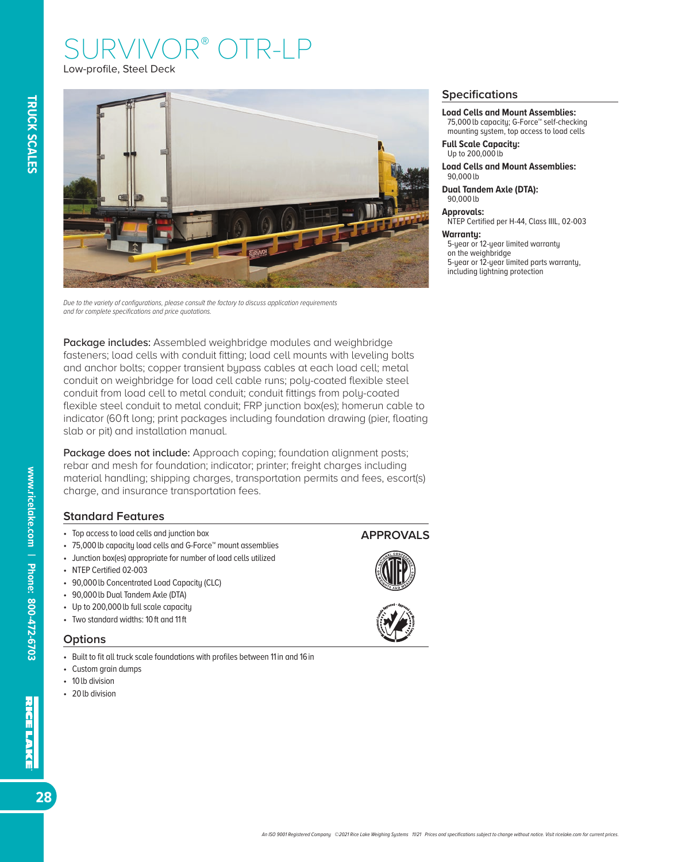# JRVIVO  $R-I$ Low-profile, Steel Deck

*Due to the variety of configurations, please consult the factory to discuss application requirements and for complete specifications and price quotations.*

Package includes: Assembled weighbridge modules and weighbridge fasteners; load cells with conduit fitting; load cell mounts with leveling bolts and anchor bolts; copper transient bypass cables at each load cell; metal conduit on weighbridge for load cell cable runs; poly-coated flexible steel conduit from load cell to metal conduit; conduit fittings from poly-coated flexible steel conduit to metal conduit; FRP junction box(es); homerun cable to indicator (60 ft long; print packages including foundation drawing (pier, floating slab or pit) and installation manual.

Package does not include: Approach coping; foundation alignment posts; rebar and mesh for foundation; indicator; printer; freight charges including material handling; shipping charges, transportation permits and fees, escort(s) charge, and insurance transportation fees.

### **Standard Features**

- Top access to load cells and junction box
- 75,000 lb capacity load cells and G-Force™ mount assemblies
- Junction box(es) appropriate for number of load cells utilized
- NTEP Certified 02-003
- 90,000 lb Concentrated Load Capacity (CLC)
- 90,000 lb Dual Tandem Axle (DTA)
- Up to 200,000 lb full scale capacity
- Two standard widths: 10 ft and 11 ft

### **Options**

- Built to fit all truck scale foundations with profiles between 11 in and 16 in
- Custom grain dumps
- 10*lb* division
- 20*lb* division

#### **Specifications**

**Load Cells and Mount Assemblies:**

75,000 lb capacity; G-Force™ self-checking mounting system, top access to load cells

**Full Scale Capacity:** Up to 200,000 lb

**Load Cells and Mount Assemblies:** 90,000 lb

**Dual Tandem Axle (DTA):** 90,000 lb

**Approvals:**

NTEP Certified per H-44, Class IIIL, 02-003

#### **Warranty:**

5-year or 12-year limited warranty on the weighbridge 5-year or 12-year limited parts warranty. including lightning protection

### **APPROVALS**





**www.ricelake.com | Phone: 800-472-6703**

www.ricelake.com | Phone: 800-472-6703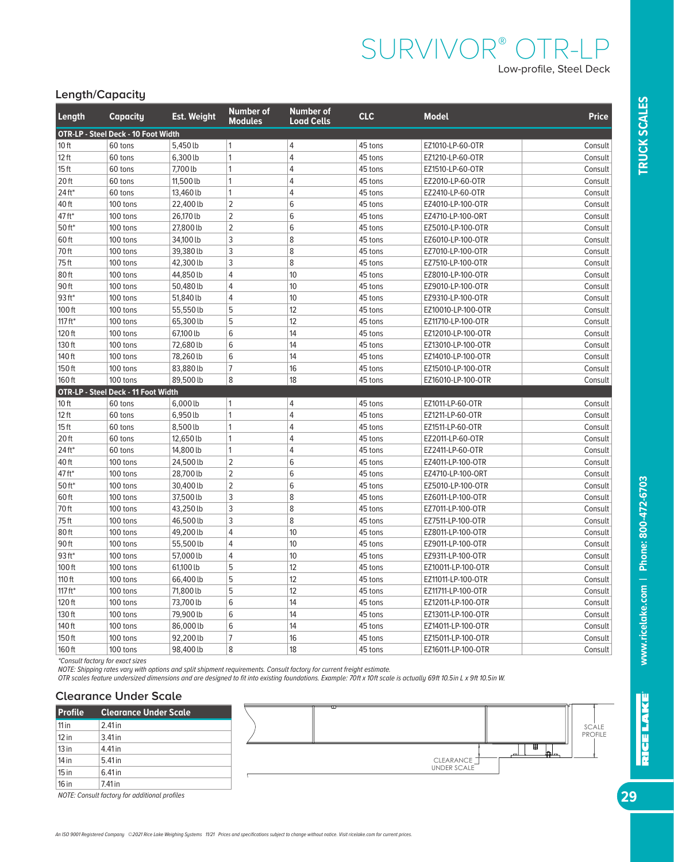# SURVIVOR® OTR-LP Low-profile, Steel Deck

# **Length/Capacity**

| Length               | Capacity                                   | <b>Est. Weight</b> | <b>Number of</b><br><b>Modules</b> | <b>Number of</b><br><b>Load Cells</b> | <b>CLC</b> | <b>Model</b>       | <b>Price</b> |
|----------------------|--------------------------------------------|--------------------|------------------------------------|---------------------------------------|------------|--------------------|--------------|
|                      | <b>OTR-LP - Steel Deck - 10 Foot Width</b> |                    |                                    |                                       |            |                    |              |
| 10 <sub>ft</sub>     | 60 tons                                    | 5,450 lb           | $\overline{1}$                     | $\overline{4}$                        | 45 tons    | EZ1010-LP-60-OTR   | Consult      |
| $12$ ft              | 60 tons                                    | 6,300 lb           | $\overline{1}$                     | $\overline{4}$                        | 45 tons    | EZ1210-LP-60-OTR   | Consult      |
| 15 <sub>ft</sub>     | 60 tons                                    | 7,700 lb           | 1                                  | $\overline{4}$                        | 45 tons    | EZ1510-LP-60-OTR   | Consult      |
| 20 <sub>ft</sub>     | 60 tons                                    | 11,500 lb          | 1                                  | 4                                     | 45 tons    | EZ2010-LP-60-OTR   | Consult      |
| 24 ft*               | 60 tons                                    | 13,460 lb          | 1                                  | $\overline{4}$                        | 45 tons    | EZ2410-LP-60-OTR   | Consult      |
| 40 ft                | 100 tons                                   | 22,400 lb          | $\overline{2}$                     | 6                                     | 45 tons    | EZ4010-LP-100-OTR  | Consult      |
| 47 ft*               | 100 tons                                   | 26,170 lb          | $\overline{2}$                     | 6                                     | 45 tons    | EZ4710-LP-100-ORT  | Consult      |
| $50$ ft <sup>*</sup> | 100 tons                                   | 27,800 lb          | $\overline{2}$                     | 6                                     | 45 tons    | EZ5010-LP-100-OTR  | Consult      |
| 60 ft                | 100 tons                                   | 34,100 lb          | 3                                  | 8                                     | 45 tons    | EZ6010-LP-100-OTR  | Consult      |
| 70 ft                | 100 tons                                   | 39,380 lb          | 3                                  | 8                                     | 45 tons    | EZ7010-LP-100-OTR  | Consult      |
| 75ft                 | 100 tons                                   | 42,300 lb          | $\ensuremath{\mathsf{3}}$          | 8                                     | 45 tons    | EZ7510-LP-100-OTR  | Consult      |
| 80 ft                | 100 tons                                   | 44,850lb           | $\overline{4}$                     | 10                                    | 45 tons    | EZ8010-LP-100-OTR  | Consult      |
| 90 ft                | 100 tons                                   | 50,480 lb          | $\overline{4}$                     | 10                                    | 45 tons    | EZ9010-LP-100-OTR  | Consult      |
| $93$ ft*             | 100 tons                                   | 51,840 lb          | $\overline{4}$                     | 10                                    | 45 tons    | EZ9310-LP-100-OTR  | Consult      |
| 100 ft               | 100 tons                                   | 55,550lb           | 5                                  | 12                                    | 45 tons    | EZ10010-LP-100-OTR | Consult      |
| 117 $ft*$            | 100 tons                                   | 65,300 lb          | 5                                  | 12                                    | 45 tons    | EZ11710-LP-100-OTR | Consult      |
| 120 ft               | 100 tons                                   | 67,100 lb          | 6                                  | 14                                    | 45 tons    | EZ12010-LP-100-OTR | Consult      |
| 130 ft               | 100 tons                                   | 72,680 lb          | 6                                  | 14                                    | 45 tons    | EZ13010-LP-100-OTR | Consult      |
| 140 ft               | 100 tons                                   | 78,260 lb          | $6\,$                              | 14                                    | 45 tons    | EZ14010-LP-100-OTR | Consult      |
| 150ft                | 100 tons                                   | 83,880lb           | 7                                  | 16                                    | 45 tons    | EZ15010-LP-100-OTR | Consult      |
| 160ft                | 100 tons                                   | 89,500 lb          | 8                                  | 18                                    | 45 tons    | EZ16010-LP-100-OTR | Consult      |
|                      | OTR-LP - Steel Deck - 11 Foot Width        |                    |                                    |                                       |            |                    |              |
| 10 <sub>ft</sub>     | 60 tons                                    | 6,000 lb           | $\overline{1}$                     | $\overline{4}$                        | 45 tons    | EZ1011-LP-60-OTR   | Consult      |
| $12$ ft              | 60 tons                                    | 6,950 lb           | $\mathbf{1}$                       | $\overline{4}$                        | 45 tons    | EZ1211-LP-60-OTR   | Consult      |
| 15 <sub>ft</sub>     | 60 tons                                    | 8,500 lb           | $\mathbf{1}$                       | $\overline{4}$                        | 45 tons    | EZ1511-LP-60-OTR   | Consult      |
| 20 <sub>ft</sub>     | 60 tons                                    | 12,650 lb          | $\overline{1}$                     | $\overline{4}$                        | 45 tons    | EZ2011-LP-60-OTR   | Consult      |
| $24$ ft*             | 60 tons                                    | 14,800 lb          | $\mathbf{1}$                       | $\overline{4}$                        | 45 tons    | EZ2411-LP-60-OTR   | Consult      |
| 40 ft                | 100 tons                                   | 24,500 lb          | $\overline{2}$                     | 6                                     | 45 tons    | EZ4011-LP-100-OTR  | Consult      |
| 47 ft*               | 100 tons                                   | 28,700 lb          | $\overline{2}$                     | 6                                     | 45 tons    | EZ4710-LP-100-ORT  | Consult      |
| 50 ft*               | 100 tons                                   | 30,400lb           | $\sqrt{2}$                         | 6                                     | 45 tons    | EZ5010-LP-100-OTR  | Consult      |
| 60 ft                | 100 tons                                   | 37,500 lb          | 3                                  | 8                                     | 45 tons    | EZ6011-LP-100-OTR  | Consult      |
| 70 ft                | 100 tons                                   | 43,250 lb          | 3                                  | 8                                     | 45 tons    | EZ7011-LP-100-OTR  | Consult      |
| 75 ft                | 100 tons                                   | 46,500 lb          | 3                                  | 8                                     | 45 tons    | EZ7511-LP-100-OTR  | Consult      |
| 80ft                 | 100 tons                                   | 49,200 lb          | $\overline{4}$                     | 10                                    | 45 tons    | EZ8011-LP-100-OTR  | Consult      |
| 90 ft                | 100 tons                                   | 55,500 lb          | $\overline{4}$                     | 10                                    | 45 tons    | EZ9011-LP-100-OTR  | Consult      |
| 93 ft*               | 100 tons                                   | 57,000 lb          | $\overline{4}$                     | 10                                    | 45 tons    | EZ9311-LP-100-OTR  | Consult      |
| 100 ft               | 100 tons                                   | 61,100 lb          | 5                                  | 12                                    | 45 tons    | EZ10011-LP-100-OTR | Consult      |
| 110 ft               | 100 tons                                   | 66,400 lb          | 5                                  | 12                                    | 45 tons    | EZ11011-LP-100-OTR | Consult      |
| 117 $ft*$            | 100 tons                                   | 71,800 lb          | 5                                  | 12                                    | 45 tons    | EZ11711-LP-100-OTR | Consult      |
| 120 ft               | 100 tons                                   | 73,700 lb          | $6\,$                              | 14                                    | 45 tons    | EZ12011-LP-100-OTR | Consult      |
| 130 ft               | 100 tons                                   | 79,900 lb          | 6                                  | 14                                    | 45 tons    | EZ13011-LP-100-OTR | Consult      |
| 140 ft               | 100 tons                                   | 86,000 lb          | $6\,$                              | 14                                    | 45 tons    | EZ14011-LP-100-OTR | Consult      |
| 150 ft               | 100 tons                                   | 92,200 lb          | $\overline{7}$                     | 16                                    | 45 tons    | EZ15011-LP-100-OTR | Consult      |
| 160 ft               | 100 tons                                   | 98,400 lb          | 8                                  | 18                                    | 45 tons    | EZ16011-LP-100-OTR | Consult      |

*\*Consult factory for exact sizes*

*NOTE: Shipping rates vary with options and split shipment requirements. Consult factory for current freight estimate.*

*OTR scales feature undersized dimensions and are designed to fit into existing foundations. Example: 70 ft x 10 ft scale is actually 69 ft 10.5 in L x 9 ft 10.5 in W.*

#### **Clearance Under Scale**

| <b>Profile</b> | <b>Clearance Under Scale</b> |
|----------------|------------------------------|
| $11$ in        | 2.41 in                      |
| $12$ in        | 3.41 in                      |
| 13 in          | 4.41 in                      |
| $14$ in        | 5.41 in                      |
| $15$ in        | 6.41 in                      |
| 16 in          | 7.41 in                      |

*NOTE: Consult factory for additional profiles*



**29**